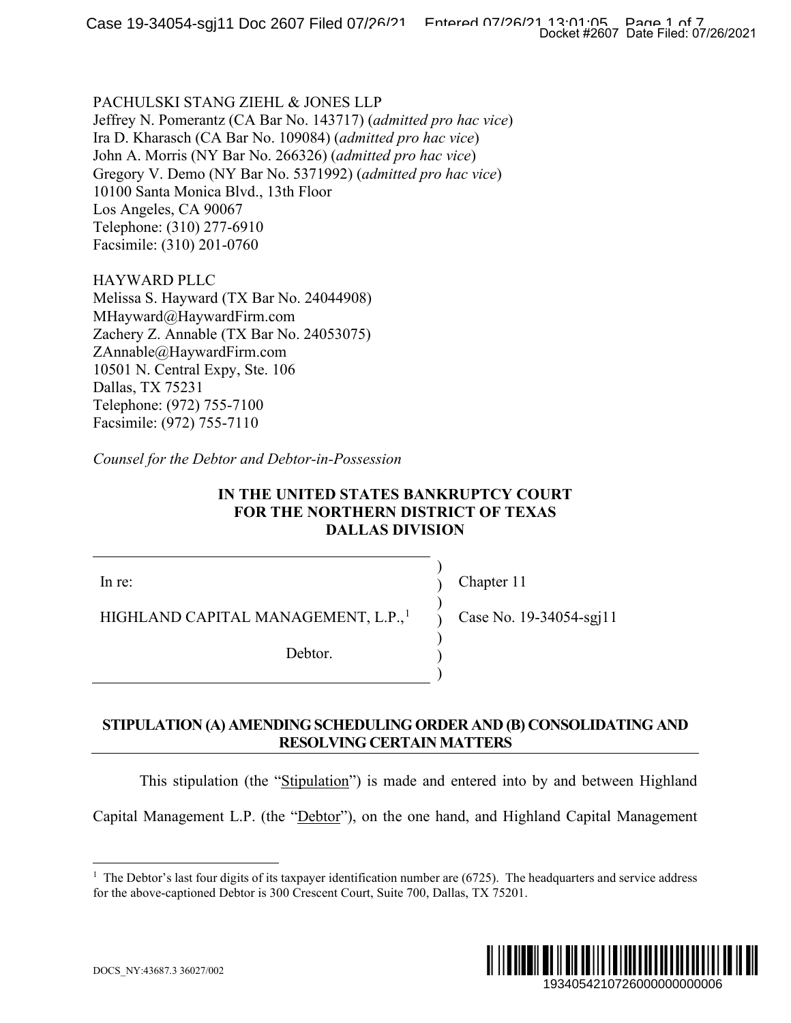PACHULSKI STANG ZIEHL & JONES LLP Jeffrey N. Pomerantz (CA Bar No. 143717) (*admitted pro hac vice*) Ira D. Kharasch (CA Bar No. 109084) (*admitted pro hac vice*) John A. Morris (NY Bar No. 266326) (*admitted pro hac vice*) Gregory V. Demo (NY Bar No. 5371992) (*admitted pro hac vice*) 10100 Santa Monica Blvd., 13th Floor Los Angeles, CA 90067 Telephone: (310) 277-6910 Facsimile: (310) 201-0760

HAYWARD PLLC Melissa S. Hayward (TX Bar No. 24044908) MHayward@HaywardFirm.com Zachery Z. Annable (TX Bar No. 24053075) ZAnnable@HaywardFirm.com 10501 N. Central Expy, Ste. 106 Dallas, TX 75231 Telephone: (972) 755-7100 Facsimile: (972) 755-7110

*Counsel for the Debtor and Debtor-in-Possession*

# **IN THE UNITED STATES BANKRUPTCY COURT FOR THE NORTHERN DISTRICT OF TEXAS DALLAS DIVISION**

In re:

HIGHLAND CAPITAL MANAGEMENT, L.P.,<sup>[1](#page-0-0)</sup>

Debtor.

Chapter 11

) ) ) ) ) ) )

Case No. 19-34054-sgj11

# **STIPULATION (A) AMENDING SCHEDULING ORDER AND (B) CONSOLIDATING AND RESOLVING CERTAIN MATTERS**

This stipulation (the "Stipulation") is made and entered into by and between Highland

<span id="page-0-0"></span>Capital Management L.P. (the "Debtor"), on the one hand, and Highland Capital Management

<sup>&</sup>lt;sup>1</sup> The Debtor's last four digits of its taxpayer identification number are  $(6725)$ . The headquarters and service address for the above-captioned Debtor is 300 Crescent Court, Suite 700, Dallas, TX 75201.

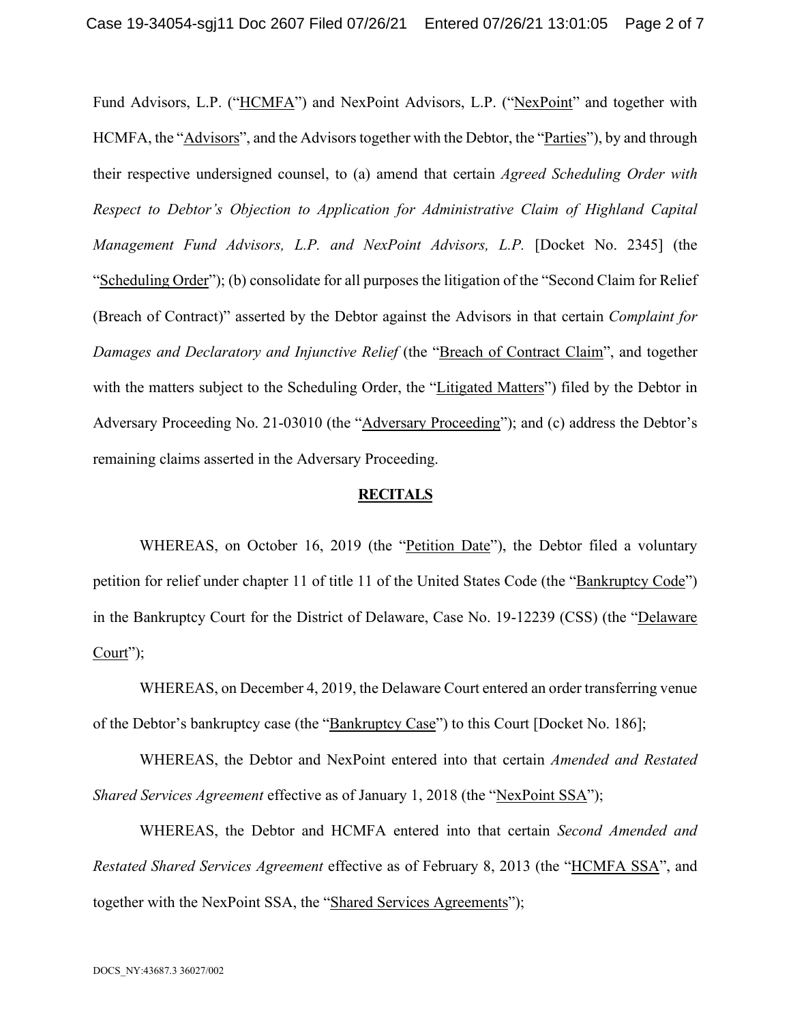Fund Advisors, L.P. ("HCMFA") and NexPoint Advisors, L.P. ("NexPoint" and together with HCMFA, the "Advisors", and the Advisors together with the Debtor, the "Parties"), by and through their respective undersigned counsel, to (a) amend that certain *Agreed Scheduling Order with Respect to Debtor's Objection to Application for Administrative Claim of Highland Capital Management Fund Advisors, L.P. and NexPoint Advisors, L.P.* [Docket No. 2345] (the "Scheduling Order"); (b) consolidate for all purposes the litigation of the "Second Claim for Relief (Breach of Contract)" asserted by the Debtor against the Advisors in that certain *Complaint for Damages and Declaratory and Injunctive Relief* (the "Breach of Contract Claim", and together with the matters subject to the Scheduling Order, the "Litigated Matters") filed by the Debtor in Adversary Proceeding No. 21-03010 (the "Adversary Proceeding"); and (c) address the Debtor's remaining claims asserted in the Adversary Proceeding.

#### **RECITALS**

WHEREAS, on October 16, 2019 (the "Petition Date"), the Debtor filed a voluntary petition for relief under chapter 11 of title 11 of the United States Code (the "Bankruptcy Code") in the Bankruptcy Court for the District of Delaware, Case No. 19-12239 (CSS) (the "Delaware  $Court$ ");

WHEREAS, on December 4, 2019, the Delaware Court entered an order transferring venue of the Debtor's bankruptcy case (the "Bankruptcy Case") to this Court [Docket No. 186];

WHEREAS, the Debtor and NexPoint entered into that certain *Amended and Restated Shared Services Agreement* effective as of January 1, 2018 (the "NexPoint SSA");

WHEREAS, the Debtor and HCMFA entered into that certain *Second Amended and Restated Shared Services Agreement* effective as of February 8, 2013 (the "HCMFA SSA", and together with the NexPoint SSA, the "Shared Services Agreements");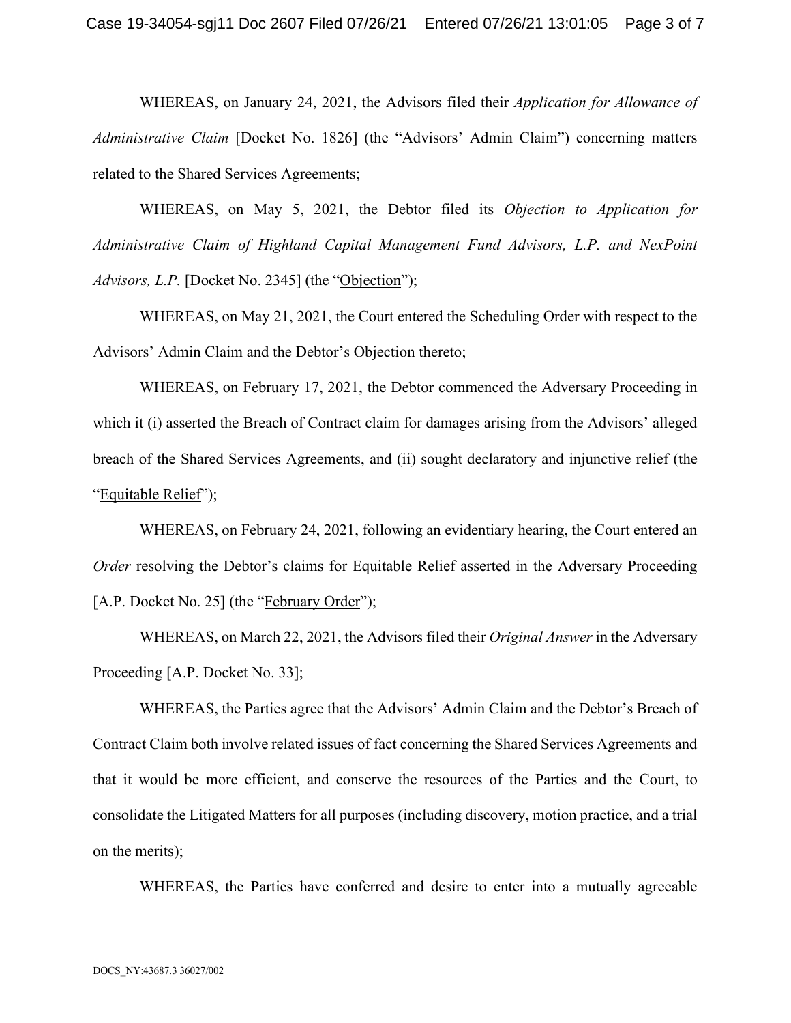WHEREAS, on January 24, 2021, the Advisors filed their *Application for Allowance of Administrative Claim* [Docket No. 1826] (the "Advisors' Admin Claim") concerning matters related to the Shared Services Agreements;

WHEREAS, on May 5, 2021, the Debtor filed its *Objection to Application for Administrative Claim of Highland Capital Management Fund Advisors, L.P. and NexPoint Advisors, L.P.* [Docket No. 2345] (the "Objection");

WHEREAS, on May 21, 2021, the Court entered the Scheduling Order with respect to the Advisors' Admin Claim and the Debtor's Objection thereto;

WHEREAS, on February 17, 2021, the Debtor commenced the Adversary Proceeding in which it (i) asserted the Breach of Contract claim for damages arising from the Advisors' alleged breach of the Shared Services Agreements, and (ii) sought declaratory and injunctive relief (the "Equitable Relief");

WHEREAS, on February 24, 2021, following an evidentiary hearing, the Court entered an *Order* resolving the Debtor's claims for Equitable Relief asserted in the Adversary Proceeding [A.P. Docket No. 25] (the "February Order");

WHEREAS, on March 22, 2021, the Advisors filed their *Original Answer* in the Adversary Proceeding [A.P. Docket No. 33];

WHEREAS, the Parties agree that the Advisors' Admin Claim and the Debtor's Breach of Contract Claim both involve related issues of fact concerning the Shared Services Agreements and that it would be more efficient, and conserve the resources of the Parties and the Court, to consolidate the Litigated Matters for all purposes (including discovery, motion practice, and a trial on the merits);

WHEREAS, the Parties have conferred and desire to enter into a mutually agreeable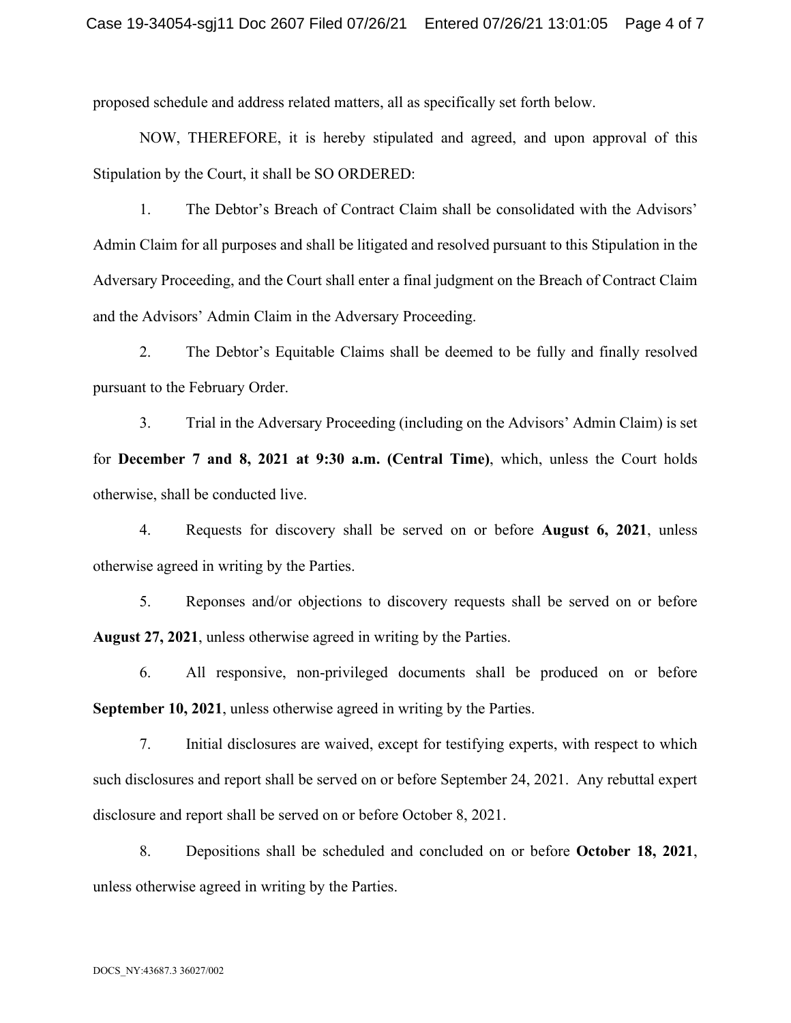proposed schedule and address related matters, all as specifically set forth below.

NOW, THEREFORE, it is hereby stipulated and agreed, and upon approval of this Stipulation by the Court, it shall be SO ORDERED:

1. The Debtor's Breach of Contract Claim shall be consolidated with the Advisors' Admin Claim for all purposes and shall be litigated and resolved pursuant to this Stipulation in the Adversary Proceeding, and the Court shall enter a final judgment on the Breach of Contract Claim and the Advisors' Admin Claim in the Adversary Proceeding.

2. The Debtor's Equitable Claims shall be deemed to be fully and finally resolved pursuant to the February Order.

3. Trial in the Adversary Proceeding (including on the Advisors' Admin Claim) is set for **December 7 and 8, 2021 at 9:30 a.m. (Central Time)**, which, unless the Court holds otherwise, shall be conducted live.

4. Requests for discovery shall be served on or before **August 6, 2021**, unless otherwise agreed in writing by the Parties.

5. Reponses and/or objections to discovery requests shall be served on or before **August 27, 2021**, unless otherwise agreed in writing by the Parties.

6. All responsive, non-privileged documents shall be produced on or before **September 10, 2021**, unless otherwise agreed in writing by the Parties.

7. Initial disclosures are waived, except for testifying experts, with respect to which such disclosures and report shall be served on or before September 24, 2021. Any rebuttal expert disclosure and report shall be served on or before October 8, 2021.

8. Depositions shall be scheduled and concluded on or before **October 18, 2021**, unless otherwise agreed in writing by the Parties.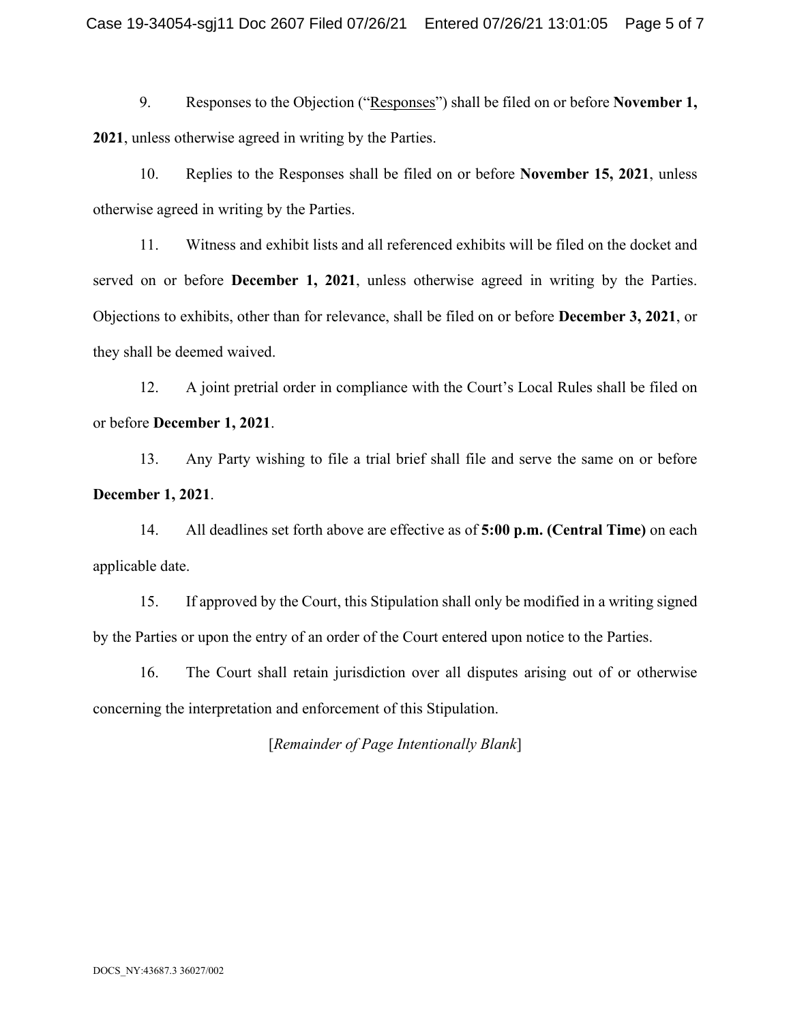9. Responses to the Objection ("Responses") shall be filed on or before **November 1, 2021**, unless otherwise agreed in writing by the Parties.

10. Replies to the Responses shall be filed on or before **November 15, 2021**, unless otherwise agreed in writing by the Parties.

11. Witness and exhibit lists and all referenced exhibits will be filed on the docket and served on or before **December 1, 2021**, unless otherwise agreed in writing by the Parties. Objections to exhibits, other than for relevance, shall be filed on or before **December 3, 2021**, or they shall be deemed waived.

12. A joint pretrial order in compliance with the Court's Local Rules shall be filed on or before **December 1, 2021**.

13. Any Party wishing to file a trial brief shall file and serve the same on or before **December 1, 2021**.

14. All deadlines set forth above are effective as of **5:00 p.m. (Central Time)** on each applicable date.

15. If approved by the Court, this Stipulation shall only be modified in a writing signed by the Parties or upon the entry of an order of the Court entered upon notice to the Parties.

16. The Court shall retain jurisdiction over all disputes arising out of or otherwise concerning the interpretation and enforcement of this Stipulation.

[*Remainder of Page Intentionally Blank*]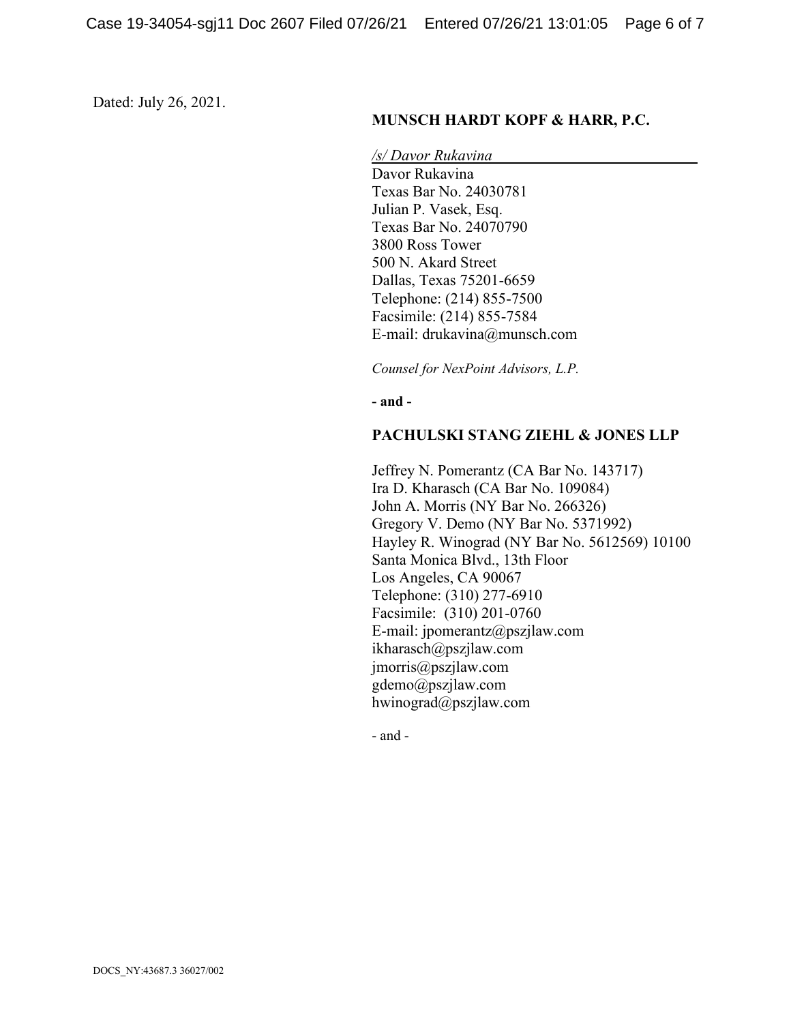Dated: July 26, 2021.

## **MUNSCH HARDT KOPF & HARR, P.C.**

*/s/ Davor Rukavina*  Davor Rukavina Texas Bar No. 24030781 Julian P. Vasek, Esq. Texas Bar No. 24070790 3800 Ross Tower 500 N. Akard Street Dallas, Texas 75201-6659 Telephone: (214) 855-7500 Facsimile: (214) 855-7584 E-mail: drukavina@munsch.com

*Counsel for NexPoint Advisors, L.P.*

**- and -**

#### **PACHULSKI STANG ZIEHL & JONES LLP**

Jeffrey N. Pomerantz (CA Bar No. 143717) Ira D. Kharasch (CA Bar No. 109084) John A. Morris (NY Bar No. 266326) Gregory V. Demo (NY Bar No. 5371992) Hayley R. Winograd (NY Bar No. 5612569) 10100 Santa Monica Blvd., 13th Floor Los Angeles, CA 90067 Telephone: (310) 277-6910 Facsimile: (310) 201-0760 E-mail: jpomerantz@pszjlaw.com ikharasch@pszjlaw.com jmorris@pszjlaw.com gdemo@pszjlaw.com hwinograd@pszjlaw.com

- and -